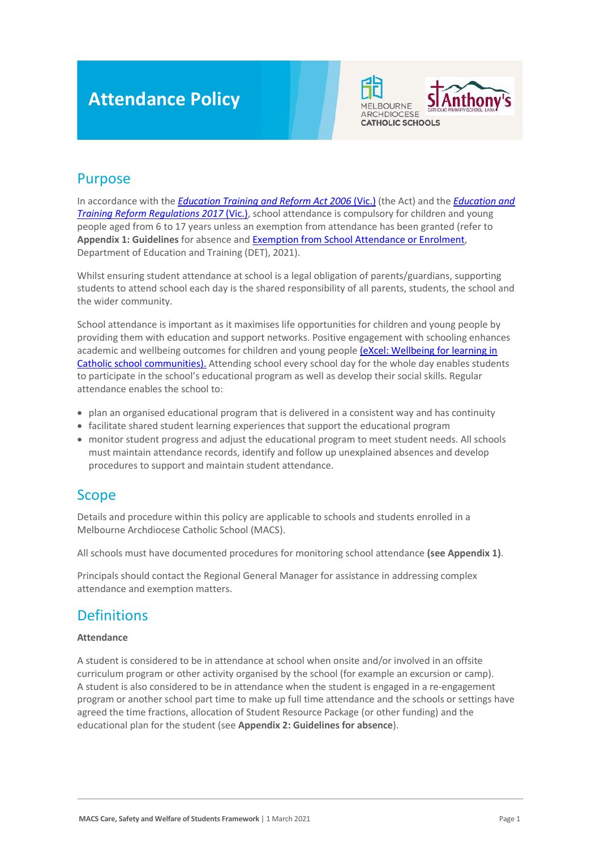# **Attendance Policy**



## Purpose

In accordance with the *[Education Training and Reform Act 2006](https://www.macs.vic.edu.au/CatholicEducationMelbourne/media/Documentation/Documents/eXcel-Wellbeing-for-learning_Guide_May-2018_CEM.pdf)* (Vic.) (the Act) and the *[Education and](https://www.education.vic.gov.au/about/department/legislation/Pages/act2006regs.aspx)  [Training Reform Regulations 2017](https://www.education.vic.gov.au/about/department/legislation/Pages/act2006regs.aspx)* (Vic.), school attendance is compulsory for children and young people aged from 6 to 17 years unless an exemption from attendance has been granted (refer to **Appendix 1: Guidelines** for absence an[d Exemption from School Attendance or Enrolment,](https://www2.education.vic.gov.au/pal/exemption-school-attendance-and-enrolment/policy) Department of Education and Training (DET), 2021).

Whilst ensuring student attendance at school is a legal obligation of parents/guardians, supporting students to attend school each day is the shared responsibility of all parents, students, the school and the wider community.

School attendance is important as it maximises life opportunities for children and young people by providing them with education and support networks. Positive engagement with schooling enhances academic and wellbeing outcomes for children and young peopl[e \(eXcel: Wellbeing for learning in](https://www.macs.vic.edu.au/CatholicEducationMelbourne/media/Documentation/Documents/eXcel-Wellbeing-for-learning_Guide_May-2018_CEM.pdf)  [Catholic school communities\).](https://www.macs.vic.edu.au/CatholicEducationMelbourne/media/Documentation/Documents/eXcel-Wellbeing-for-learning_Guide_May-2018_CEM.pdf) Attending school every school day for the whole day enables students to participate in the school's educational program as well as develop their social skills. Regular attendance enables the school to:

- plan an organised educational program that is delivered in a consistent way and has continuity
- facilitate shared student learning experiences that support the educational program
- monitor student progress and adjust the educational program to meet student needs. All schools must maintain attendance records, identify and follow up unexplained absences and develop procedures to support and maintain student attendance.

## Scope

Details and procedure within this policy are applicable to schools and students enrolled in a Melbourne Archdiocese Catholic School (MACS).

All schools must have documented procedures for monitoring school attendance **(see Appendix 1)**.

Principals should contact the Regional General Manager for assistance in addressing complex attendance and exemption matters.

## **Definitions**

#### **Attendance**

A student is considered to be in attendance at school when onsite and/or involved in an offsite curriculum program or other activity organised by the school (for example an excursion or camp). A student is also considered to be in attendance when the student is engaged in a re-engagement program or another school part time to make up full time attendance and the schools or settings have agreed the time fractions, allocation of Student Resource Package (or other funding) and the educational plan for the student (see **Appendix 2: Guidelines for absence**).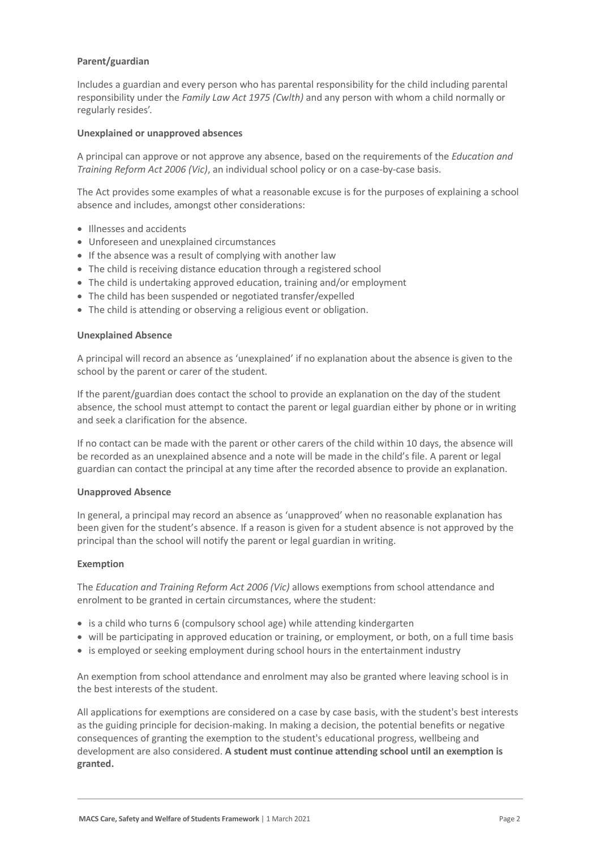#### **Parent/guardian**

Includes a guardian and every person who has parental responsibility for the child including parental responsibility under the *Family Law Act 1975 (Cwlth)* and any person with whom a child normally or regularly resides'.

#### **Unexplained or unapproved absences**

A principal can approve or not approve any absence, based on the requirements of the *Education and Training Reform Act 2006 (Vic)*, an individual school policy or on a case-by-case basis.

The Act provides some examples of what a reasonable excuse is for the purposes of explaining a school absence and includes, amongst other considerations:

- Illnesses and accidents
- Unforeseen and unexplained circumstances
- If the absence was a result of complying with another law
- The child is receiving distance education through a registered school
- The child is undertaking approved education, training and/or employment
- The child has been suspended or negotiated transfer/expelled
- The child is attending or observing a religious event or obligation.

#### **Unexplained Absence**

A principal will record an absence as 'unexplained' if no explanation about the absence is given to the school by the parent or carer of the student.

If the parent/guardian does contact the school to provide an explanation on the day of the student absence, the school must attempt to contact the parent or legal guardian either by phone or in writing and seek a clarification for the absence.

If no contact can be made with the parent or other carers of the child within 10 days, the absence will be recorded as an unexplained absence and a note will be made in the child's file. A parent or legal guardian can contact the principal at any time after the recorded absence to provide an explanation.

#### **Unapproved Absence**

In general, a principal may record an absence as 'unapproved' when no reasonable explanation has been given for the student's absence. If a reason is given for a student absence is not approved by the principal than the school will notify the parent or legal guardian in writing.

#### **Exemption**

The *Education and Training Reform Act 2006 (Vic)* allows exemptions from school attendance and enrolment to be granted in certain circumstances, where the student:

- is a child who turns 6 (compulsory school age) while attending kindergarten
- will be participating in approved education or training, or employment, or both, on a full time basis
- is employed or seeking employment during school hours in the entertainment industry

An exemption from school attendance and enrolment may also be granted where leaving school is in the best interests of the student.

All applications for exemptions are considered on a case by case basis, with the student's best interests as the guiding principle for decision-making. In making a decision, the potential benefits or negative consequences of granting the exemption to the student's educational progress, wellbeing and development are also considered. **A student must continue attending school until an exemption is granted.**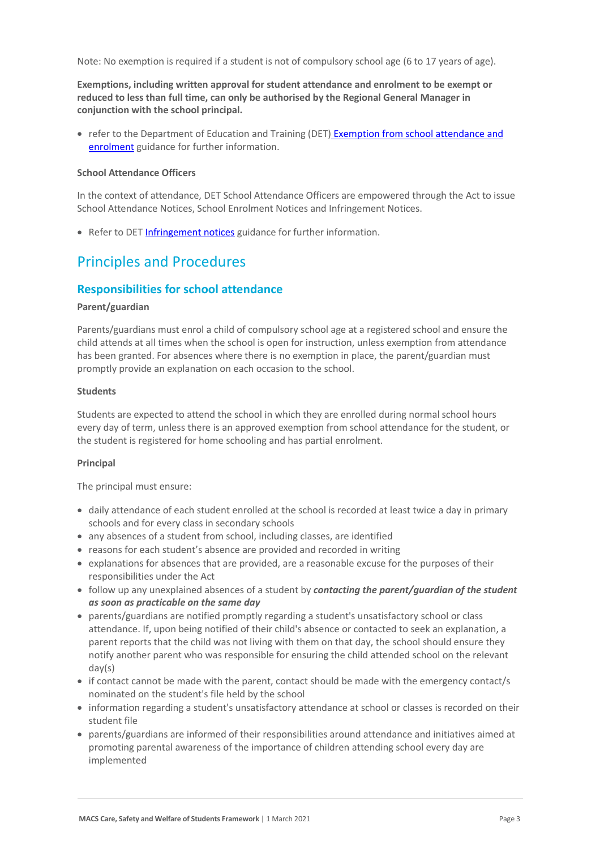Note: No exemption is required if a student is not of compulsory school age (6 to 17 years of age).

**Exemptions, including written approval for student attendance and enrolment to be exempt or reduced to less than full time, can only be authorised by the Regional General Manager in conjunction with the school principal.** 

• refer to the Department of Education and Training (DET) Exemption from school attendance and [enrolment](https://www2.education.vic.gov.au/pal/exemption-school-attendance-and-enrolment/guidance/1-exemption-categories) guidance for further information.

#### **School Attendance Officers**

In the context of attendance, DET School Attendance Officers are empowered through the Act to issue School Attendance Notices, School Enrolment Notices and Infringement Notices.

• Refer to DET [Infringement notices](https://www2.education.vic.gov.au/pal/attendance/guidance/10-infringement-notices) guidance for further information.

## Principles and Procedures

#### **Responsibilities for school attendance**

#### **Parent/guardian**

Parents/guardians must enrol a child of compulsory school age at a registered school and ensure the child attends at all times when the school is open for instruction, unless exemption from attendance has been granted. For absences where there is no exemption in place, the parent/guardian must promptly provide an explanation on each occasion to the school.

#### **Students**

Students are expected to attend the school in which they are enrolled during normal school hours every day of term, unless there is an approved exemption from school attendance for the student, or the student is registered for home schooling and has partial enrolment.

#### **Principal**

The principal must ensure:

- daily attendance of each student enrolled at the school is recorded at least twice a day in primary schools and for every class in secondary schools
- any absences of a student from school, including classes, are identified
- reasons for each student's absence are provided and recorded in writing
- explanations for absences that are provided, are a reasonable excuse for the purposes of their responsibilities under the Act
- follow up any unexplained absences of a student by *contacting the parent/guardian of the student as soon as practicable on the same day*
- parents/guardians are notified promptly regarding a student's unsatisfactory school or class attendance. If, upon being notified of their child's absence or contacted to seek an explanation, a parent reports that the child was not living with them on that day, the school should ensure they notify another parent who was responsible for ensuring the child attended school on the relevant day(s)
- if contact cannot be made with the parent, contact should be made with the emergency contact/s nominated on the student's file held by the school
- information regarding a student's unsatisfactory attendance at school or classes is recorded on their student file
- parents/guardians are informed of their responsibilities around attendance and initiatives aimed at promoting parental awareness of the importance of children attending school every day are implemented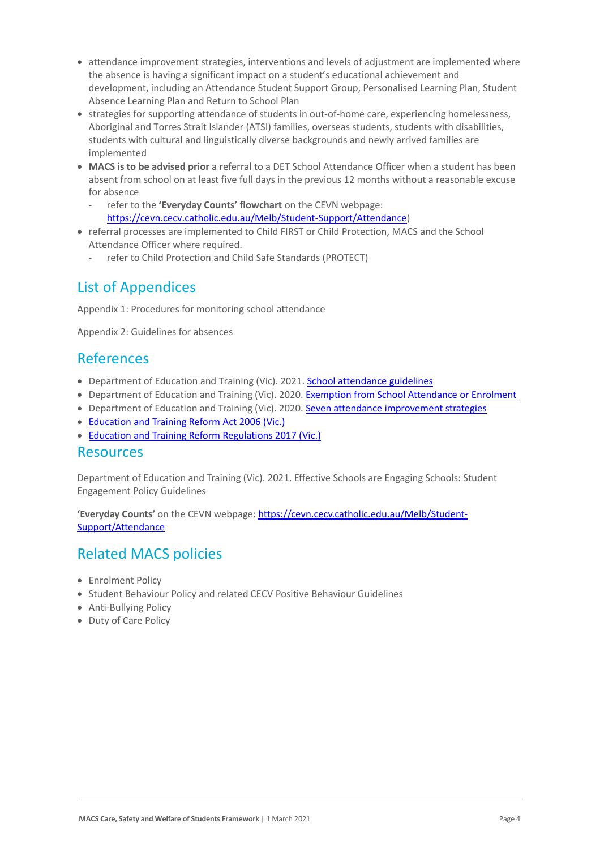- attendance improvement strategies, interventions and levels of adjustment are implemented where the absence is having a significant impact on a student's educational achievement and development, including an Attendance Student Support Group, Personalised Learning Plan, Student Absence Learning Plan and Return to School Plan
- strategies for supporting attendance of students in out-of-home care, experiencing homelessness, Aboriginal and Torres Strait Islander (ATSI) families, overseas students, students with disabilities, students with cultural and linguistically diverse backgrounds and newly arrived families are implemented
- **MACS is to be advised prior** a referral to a DET School Attendance Officer when a student has been absent from school on at least five full days in the previous 12 months without a reasonable excuse for absence
	- refer to the **'Everyday Counts' flowchart** on the CEVN webpage: [https://cevn.cecv.catholic.edu.au/Melb/Student-Support/Attendance\)](https://cevn.cecv.catholic.edu.au/Melb/Student-Support/Attendance)
- referral processes are implemented to Child FIRST or Child Protection, MACS and the School Attendance Officer where required.
	- refer to Child Protection and Child Safe Standards (PROTECT)

## List of Appendices

Appendix 1: Procedures for monitoring school attendance

Appendix 2: Guidelines for absences

### References

- Department of Education and Training (Vic). 2021[. School attendance guidelines](https://www2.education.vic.gov.au/pal/attendance/guidance)
- Department of Education and Training (Vic). 2020. [Exemption from School Attendance or Enrolment](https://www2.education.vic.gov.au/pal/exemption-school-attendance-and-enrolment/policy)
- Department of Education and Training (Vic). 2020. [Seven attendance improvement strategies](https://www2.education.vic.gov.au/pal/attendance/guidance/7-attendance-improvement-strategies)
- [Education and Training Reform Act 2006 \(Vic.\)](https://www.legislation.vic.gov.au/in-force/acts/education-and-training-reform-act-2006/083)
- [Education and Training Reform Regulations 2017 \(Vic.\)](https://www.education.vic.gov.au/about/department/legislation/Pages/act2006regs.aspx)

### Resources

Department of Education and Training (Vic). 2021. Effective Schools are Engaging Schools: Student Engagement Policy Guidelines

**'Everyday Counts'** on the CEVN webpage: [https://cevn.cecv.catholic.edu.au/Melb/Student-](https://cevn.cecv.catholic.edu.au/Melb/Student-Support/Attendance)[Support/Attendance](https://cevn.cecv.catholic.edu.au/Melb/Student-Support/Attendance)

## Related MACS policies

- Enrolment Policy
- Student Behaviour Policy and related CECV Positive Behaviour Guidelines
- Anti-Bullying Policy
- Duty of Care Policy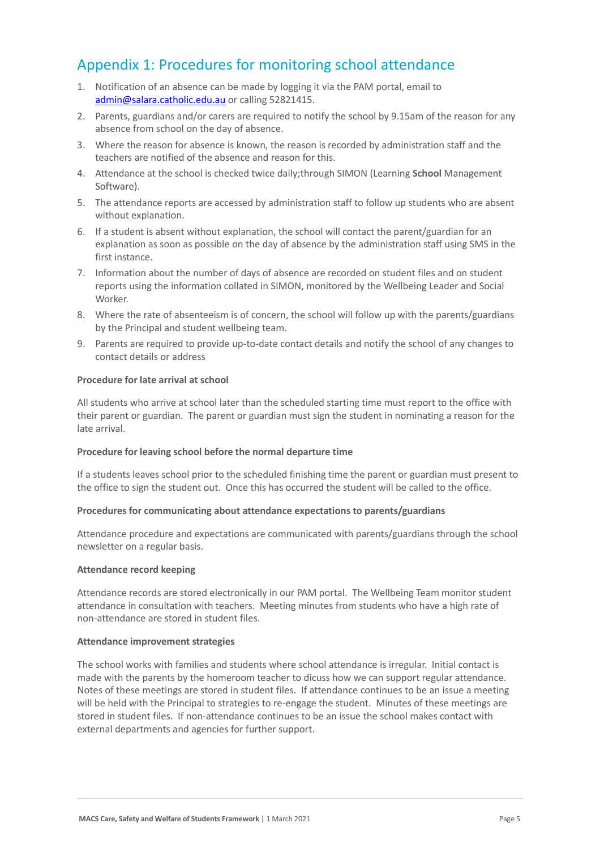## Appendix 1: Procedures for monitoring school attendance

- 1. Notification of an absence can be made by logging it via the PAM portal, email to [admin@salara.catholic.edu.au](mailto:admin@salara.catholic.edu.au) or calling 52821415.
- 2. Parents, guardians and/or carers are required to notify the school by 9.15am of the reason for any absence from school on the day of absence.
- 3. Where the reason for absence is known, the reason is recorded by administration staff and the teachers are notified of the absence and reason for this.
- 4. Attendance at the school is checked twice daily;through SIMON (Learning **School** Management Software).
- 5. The attendance reports are accessed by administration staff to follow up students who are absent without explanation.
- 6. If a student is absent without explanation, the school will contact the parent/guardian for an explanation as soon as possible on the day of absence by the administration staff using SMS in the first instance.
- 7. Information about the number of days of absence are recorded on student files and on student reports using the information collated in SIMON, monitored by the Wellbeing Leader and Social Worker.
- 8. Where the rate of absenteeism is of concern, the school will follow up with the parents/guardians by the Principal and student wellbeing team.
- 9. Parents are required to provide up-to-date contact details and notify the school of any changes to contact details or address

#### **Procedure for late arrival at school**

All students who arrive at school later than the scheduled starting time must report to the office with their parent or guardian. The parent or guardian must sign the student in nominating a reason for the late arrival.

#### **Procedure for leaving school before the normal departure time**

If a students leaves school prior to the scheduled finishing time the parent or guardian must present to the office to sign the student out. Once this has occurred the student will be called to the office.

#### **Procedures for communicating about attendance expectations to parents/guardians**

Attendance procedure and expectations are communicated with parents/guardians through the school newsletter on a regular basis.

#### **Attendance record keeping**

Attendance records are stored electronically in our PAM portal. The Wellbeing Team monitor student attendance in consultation with teachers. Meeting minutes from students who have a high rate of non-attendance are stored in student files.

#### **Attendance improvement strategies**

The school works with families and students where school attendance is irregular. Initial contact is made with the parents by the homeroom teacher to dicuss how we can support regular attendance. Notes of these meetings are stored in student files. If attendance continues to be an issue a meeting will be held with the Principal to strategies to re-engage the student. Minutes of these meetings are stored in student files. If non-attendance continues to be an issue the school makes contact with external departments and agencies for further support.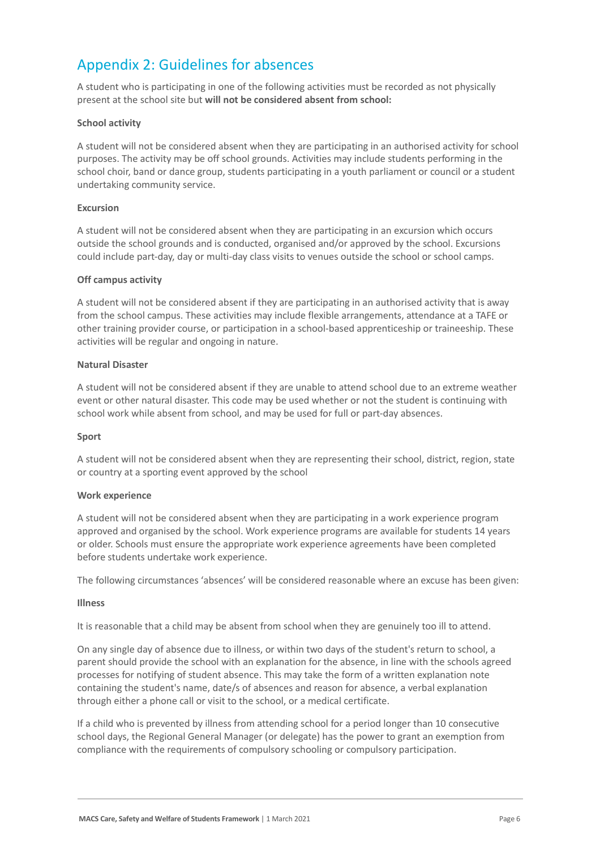## Appendix 2: Guidelines for absences

A student who is participating in one of the following activities must be recorded as not physically present at the school site but **will not be considered absent from school:**

#### **School activity**

A student will not be considered absent when they are participating in an authorised activity for school purposes. The activity may be off school grounds. Activities may include students performing in the school choir, band or dance group, students participating in a youth parliament or council or a student undertaking community service.

#### **Excursion**

A student will not be considered absent when they are participating in an excursion which occurs outside the school grounds and is conducted, organised and/or approved by the school. Excursions could include part-day, day or multi-day class visits to venues outside the school or school camps.

#### **Off campus activity**

A student will not be considered absent if they are participating in an authorised activity that is away from the school campus. These activities may include flexible arrangements, attendance at a TAFE or other training provider course, or participation in a school-based apprenticeship or traineeship. These activities will be regular and ongoing in nature.

#### **Natural Disaster**

A student will not be considered absent if they are unable to attend school due to an extreme weather event or other natural disaster. This code may be used whether or not the student is continuing with school work while absent from school, and may be used for full or part-day absences.

#### **Sport**

A student will not be considered absent when they are representing their school, district, region, state or country at a sporting event approved by the school

#### **Work experience**

A student will not be considered absent when they are participating in a work experience program approved and organised by the school. Work experience programs are available for students 14 years or older. Schools must ensure the appropriate work experience agreements have been completed before students undertake work experience.

The following circumstances 'absences' will be considered reasonable where an excuse has been given:

#### **Illness**

It is reasonable that a child may be absent from school when they are genuinely too ill to attend.

On any single day of absence due to illness, or within two days of the student's return to school, a parent should provide the school with an explanation for the absence, in line with the schools agreed processes for notifying of student absence. This may take the form of a written explanation note containing the student's name, date/s of absences and reason for absence, a verbal explanation through either a phone call or visit to the school, or a medical certificate.

If a child who is prevented by illness from attending school for a period longer than 10 consecutive school days, the Regional General Manager (or delegate) has the power to grant an exemption from compliance with the requirements of compulsory schooling or compulsory participation.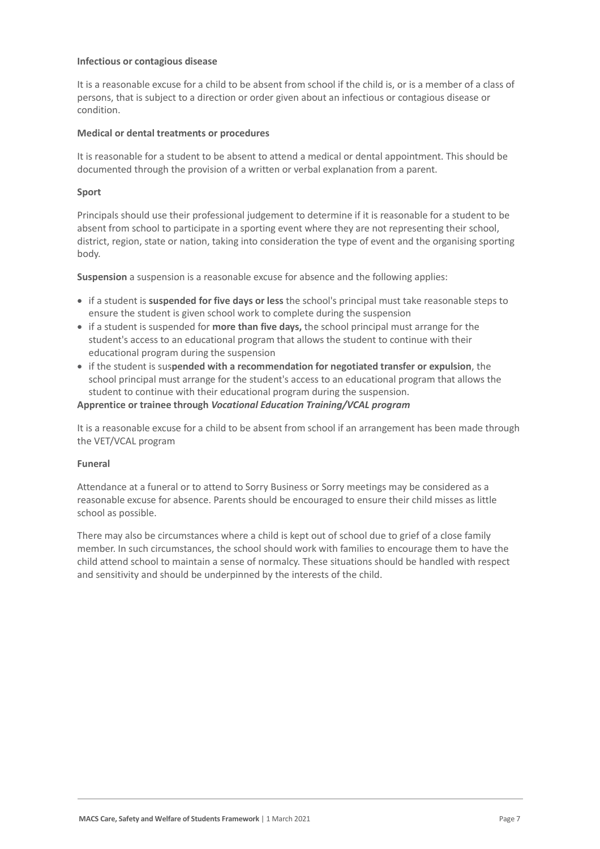#### **Infectious or contagious disease**

It is a reasonable excuse for a child to be absent from school if the child is, or is a member of a class of persons, that is subject to a direction or order given about an infectious or contagious disease or condition.

#### **Medical or dental treatments or procedures**

It is reasonable for a student to be absent to attend a medical or dental appointment. This should be documented through the provision of a written or verbal explanation from a parent.

#### **Sport**

Principals should use their professional judgement to determine if it is reasonable for a student to be absent from school to participate in a sporting event where they are not representing their school, district, region, state or nation, taking into consideration the type of event and the organising sporting body.

**Suspension** a suspension is a reasonable excuse for absence and the following applies:

- if a student is **suspended for five days or less** the school's principal must take reasonable steps to ensure the student is given school work to complete during the suspension
- if a student is suspended for **more than five days,** the school principal must arrange for the student's access to an educational program that allows the student to continue with their educational program during the suspension
- if the student is sus**pended with a recommendation for negotiated transfer or expulsion**, the school principal must arrange for the student's access to an educational program that allows the student to continue with their educational program during the suspension.

#### **Apprentice or trainee through** *Vocational Education Training/VCAL program*

It is a reasonable excuse for a child to be absent from school if an arrangement has been made through the VET/VCAL program

#### **Funeral**

Attendance at a funeral or to attend to Sorry Business or Sorry meetings may be considered as a reasonable excuse for absence. Parents should be encouraged to ensure their child misses as little school as possible.

There may also be circumstances where a child is kept out of school due to grief of a close family member. In such circumstances, the school should work with families to encourage them to have the child attend school to maintain a sense of normalcy. These situations should be handled with respect and sensitivity and should be underpinned by the interests of the child.